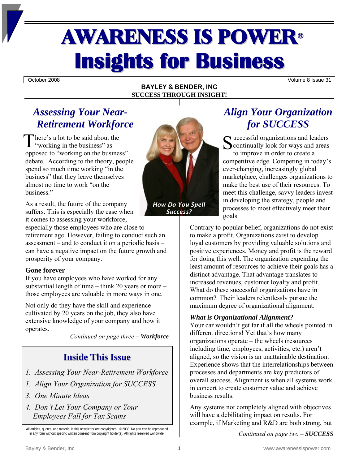# **AWARENESS IS POWER® Insights for Business**

October 2008 Volume 8 Issue 31

#### **BAYLEY & BENDER, INC SUCCESS THROUGH INSIGHT!**

## *Assessing Your Near-Retirement Workforce*

he re's a lot to be said about the There's a lot to be said about the<br>
"working in the business" as<br> **S** oppos ed to "working on the business" debate. According to the theory, people spend so much time working "in the business" that they leave themselves almost no time to work "on the business."

As a result, the future of the company suffers. This is especially the case when it comes to assessing your workforce,

especially those employees who are close to retirement age. However, failing to conduct such an assessment – and to conduct it on a periodic basis – can have a negative impact on the future growth and prosperity of your company.

#### **Gone forever**

If you have employees who have worked for any substantial length of time – think 20 years or more – those employees are valuable in more ways in one.

Not only do they have the skill and experience cultivated by 20 years on the job, they also have extensive knowledge of your company and how it operates.

*Continued on page three – Workforce*

## **Inside This Issue**

- *1. Assessing Your Near-Retirement Workforce*
- *1. Align Your Organization for SUCCESS*
- *3. One Minute Ideas*
- *4. Don't Let Your Company or Your Employees Fall for Tax Scams*



*Success?*

# *Align Your Organization for SUCCESS*

uccessful organizations and leaders continually look for ways and areas to improve in order to create a competitive edge. Competing in today's ever-changing, increasingly global marketplace, challenges organizations to make the best use of their resources. To meet this challenge, savvy leaders invest in developing the strategy, people and processes to most effectively meet their goals.

Contrary to popular belief, organizations do not exist to make a profit. Organizations exist to develop loyal customers by providing valuable solutions and positive experiences. Money and profit is the reward for doing this well. The organization expending the least amount of resources to achieve their goals has a distinct advantage. That advantage translates to increased revenues, customer loyalty and profit. What do these successful organizations have in common? Their leaders relentlessly pursue the maximum degree of organizational alignment.

#### *What is Organizational Alignment?*

Your car wouldn't get far if all the wheels pointed in different directions! Yet that's how many organizations operate – the wheels (resources including time, employees, activities, etc.) aren't aligned, so the vision is an unattainable destination. Experience shows that the interrelationships between processes and departments are key predictors of overall success. Alignment is when all systems work in concert to create customer value and achieve business results.

Any systems not completely aligned with objectives will have a debilitating impact on results. For example, if Marketing and R&D are both strong, but

*Continued on page two – SUCCESS*

All articles, quotes, and material in this newsletter are copyrighted. © 2008. No part can be reproduced in any form without specific written consent from copyright holder(s). All rights reserved worldwide.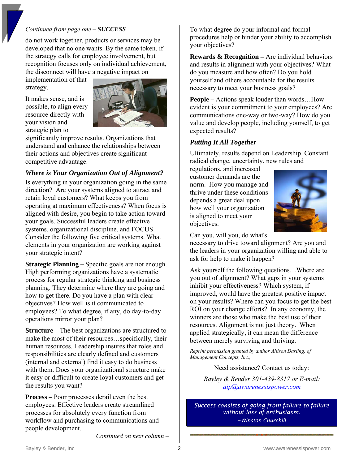#### *Continued from page one – SUCCESS*

do not work together, products or services may be developed that no one wants. By the same token, if the strategy calls for employee involvement, but recognition focuses only on individual achievement, the disconnect will have a negative impact on

implementation of that strategy.

It makes sense, and is possible, to align every resource directly with your vision and strategic plan to



significantly improve results. Organizations that understand and enhance the relationships between their actions and objectives create significant competitive advantage.

#### *Where is Your Organization Out of Alignment?*

Is everything in your organization going in the same direction? Are your systems aligned to attract and retain loyal customers? What keeps you from operating at maximum effectiveness? When focus is aligned with desire, you begin to take action toward your goals. Successful leaders create effective systems, organizational discipline, and FOCUS. Consider the following five critical systems. What elements in your organization are working against your strategic intent?

**Strategic Planning –** Specific goals are not enough. High performing organizations have a systematic process for regular strategic thinking and business planning. They determine where they are going and how to get there. Do you have a plan with clear objectives? How well is it communicated to employees? To what degree, if any, do day-to-day operations mirror your plan?

**Structure –** The best organizations are structured to make the most of their resources…specifically, their human resources. Leadership insures that roles and responsibilities are clearly defined and customers (internal and external) find it easy to do business with them. Does your organizational structure make it easy or difficult to create loyal customers and get the results you want?

**Process –** Poor processes derail even the best employees. Effective leaders create streamlined processes for absolutely every function from workflow and purchasing to communications and people development.

To what degree do your informal and formal procedures help or hinder your ability to accomplish your objectives?

**Rewards & Recognition –** Are individual behaviors and results in alignment with your objectives? What do you measure and how often? Do you hold yourself and others accountable for the results necessary to meet your business goals?

**People –** Actions speak louder than words…How evident is your commitment to your employees? Are communications one-way or two-way? How do you value and develop people, including yourself, to get expected results?

#### *Putting It All Together*

Ultimately, results depend on Leadership. Constant radical change, uncertainty, new rules and

regulations, and increased customer demands are the norm. How you manage and thrive under these conditions depends a great deal upon how well your organization is aligned to meet your objectives.



Can you, will you, do what's

necessary to drive toward alignment? Are you and the leaders in your organization willing and able to ask for help to make it happen?

Ask yourself the following questions…Where are you out of alignment? What gaps in your systems inhibit your effectiveness? Which system, if improved, would have the greatest positive impact on your results? Where can you focus to get the best ROI on your change efforts? In any economy, the winners are those who make the best use of their resources. Alignment is not just theory. When applied strategically, it can mean the difference between merely surviving and thriving.

*Reprint permission granted by author Allison Darling. of Management Concepts, Inc.,* 

Need assistance? Contact us today:

*Bayley & Bender 301-439-8317 or E-mail: [aip@awarenessispower.com](mailto:aip@awarenessispower.com)*

*Success consists of going from failure to failure without loss of enthusiasm. −Winston Churchill* 

*Continued on next column –*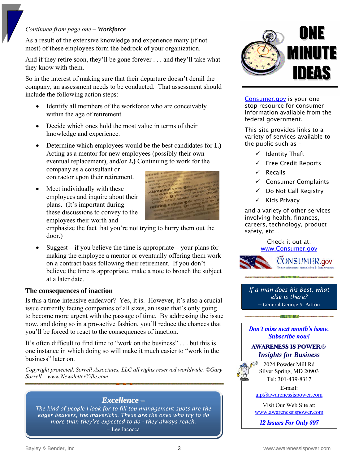#### *Continued from page one – Workforce*

As a result of the extensive knowledge and experience many (if not most) of these employees form the bedrock of your organization.

And if they retire soon, they'll be gone forever . . . and they'll take what they know with them.

So in the interest of making sure that their departure doesn't derail the company, an assessment needs to be conducted. That assessment should include the following action steps:

- Identify all members of the workforce who are conceivably within the age of retirement.
- Decide which ones hold the most value in terms of their knowledge and experience.
- Determine which employees would be the best candidates for **1.)** Acting as a mentor for new employees (possibly their own eventual replacement), and/or **2.)** Continuing to work for the

company as a consultant or contractor upon their retirement.

• Meet individually with these employees and inquire about their plans. (It's important during these discussions to convey to the employees their worth and



emphasize the fact that you're not trying to hurry them out the door.)

• Suggest – if you believe the time is appropriate – your plans for making the employee a mentor or eventually offering them work on a contract basis following their retirement. If you don't believe the time is appropriate, make a note to broach the subject at a later date.

#### **The consequences of inaction**

Is this a time-intensive endeavor? Yes, it is. However, it's also a crucial issue currently facing companies of all sizes, an issue that's only going to become more urgent with the passage of time. By addressing the issue now, and doing so in a pro-active fashion, you'll reduce the chances that you'll be forced to react to the consequences of inaction.

It's often difficult to find time to "work on the business" . . . but this is one instance in which doing so will make it much easier to "work in the business" later on.

*Copyright protected, Sorrell Associates, LLC all rights reserved worldwide. ©Gary Sorrell – www.NewsletterVille.com*

#### *Excellence –*

*The kind of people I look for to fill top management spots are the eager beavers, the mavericks. These are the ones who try to do more than they're expected to do - they always reach.*

− Lee Iacocca



[Consumer.gov](http://www.consumer.gov/) is your onestop resource for consumer information available from the federal government.

This site provides links to a variety of services available to the public such as –

- $\checkmark$  Identity Theft
- $\checkmark$  Free Credit Reports
- **Recalls**
- $\checkmark$  Consumer Complaints
- Do Not Call Registry
- $\checkmark$  Kids Privacy

and a variety of other services involving health, finances, careers, technology, product safety, etc…

> Check it out at: [www.Consumer.gov](http://www.consumer.gov/)



*If a man does his best, what else is there?*  ─ General George S. Patton

**Don't miss next month's issue. Subscribe now!** 

. *In* a state

#### **AWARENESS IS POWER**® *Insights for Business*

2024 Powder Mill Rd Silver Spring, MD 20903 Tel: 301-439-8317

E-mail: [aip@awarenessispower.com](mailto:aip@awarenessispower.com)

Visit Our Web Site at: [www.awarenessispower.com](http://www.awarenessispower.com/)

12 Issues For Only \$97